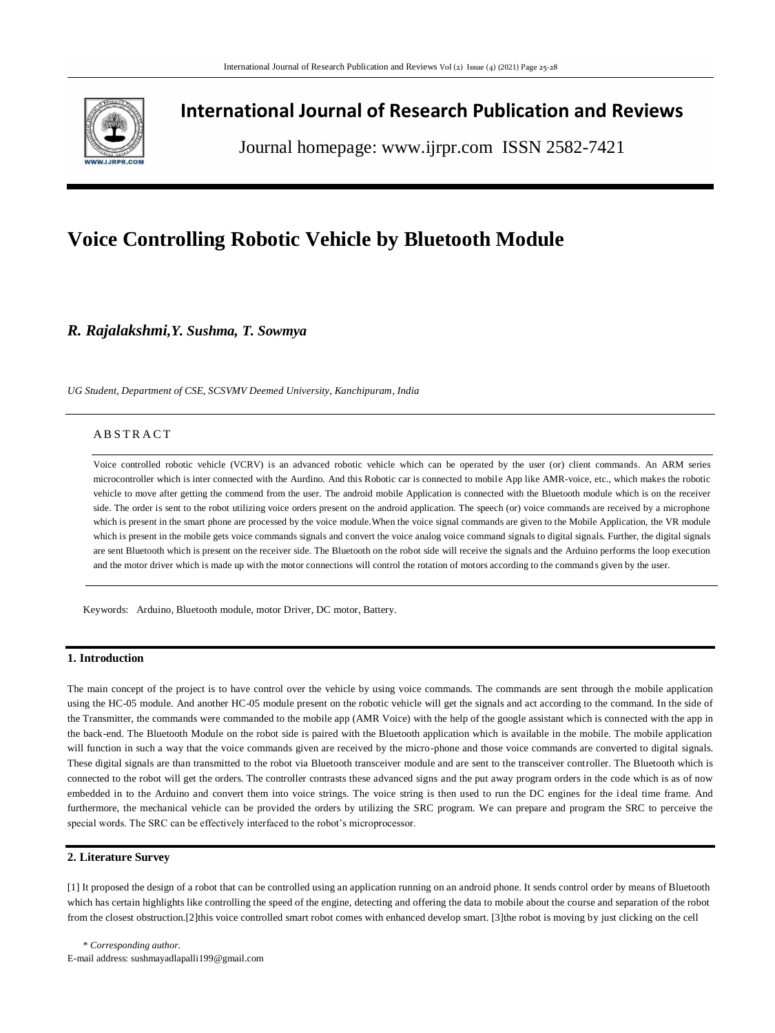

## **International Journal of Research Publication and Reviews**

Journal homepage: www.ijrpr.com ISSN 2582-7421

# **Voice Controlling Robotic Vehicle by Bluetooth Module**

*R. Rajalakshmi,Y. Sushma, T. Sowmya*

*UG Student, Department of CSE, SCSVMV Deemed University, Kanchipuram, India*

## **ABSTRACT**

Voice controlled robotic vehicle (VCRV) is an advanced robotic vehicle which can be operated by the user (or) client commands. An ARM series microcontroller which is inter connected with the Aurdino. And this Robotic car is connected to mobile App like AMR-voice, etc., which makes the robotic vehicle to move after getting the commend from the user. The android mobile Application is connected with the Bluetooth module which is on the receiver side. The order is sent to the robot utilizing voice orders present on the android application. The speech (or) voice commands are received by a microphone which is present in the smart phone are processed by the voice module. When the voice signal commands are given to the Mobile Application, the VR module which is present in the mobile gets voice commands signals and convert the voice analog voice command signals to digital signals. Further, the digital signals are sent Bluetooth which is present on the receiver side. The Bluetooth on the robot side will receive the signals and the Arduino performs the loop execution and the motor driver which is made up with the motor connections will control the rotation of motors according to the command s given by the user.

Keywords: Arduino, Bluetooth module, motor Driver, DC motor, Battery.

## **1. Introduction**

The main concept of the project is to have control over the vehicle by using voice commands. The commands are sent through the mobile application using the HC-05 module. And another HC-05 module present on the robotic vehicle will get the signals and act according to the command. In the side of the Transmitter, the commands were commanded to the mobile app (AMR Voice) with the help of the google assistant which is connected with the app in the back-end. The Bluetooth Module on the robot side is paired with the Bluetooth application which is available in the mobile. The mobile application will function in such a way that the voice commands given are received by the micro-phone and those voice commands are converted to digital signals. These digital signals are than transmitted to the robot via Bluetooth transceiver module and are sent to the transceiver controller. The Bluetooth which is connected to the robot will get the orders. The controller contrasts these advanced signs and the put away program orders in the code which is as of now embedded in to the Arduino and convert them into voice strings. The voice string is then used to run the DC engines for the i deal time frame. And furthermore, the mechanical vehicle can be provided the orders by utilizing the SRC program. We can prepare and program the SRC to perceive the special words. The SRC can be effectively interfaced to the robot's microprocessor.

#### **2. Literature Survey**

[1] It proposed the design of a robot that can be controlled using an application running on an android phone. It sends control order by means of Bluetooth which has certain highlights like controlling the speed of the engine, detecting and offering the data to mobile about the course and separation of the robot from the closest obstruction.[2]this voice controlled smart robot comes with enhanced develop smart. [3]the robot is moving by just clicking on the cell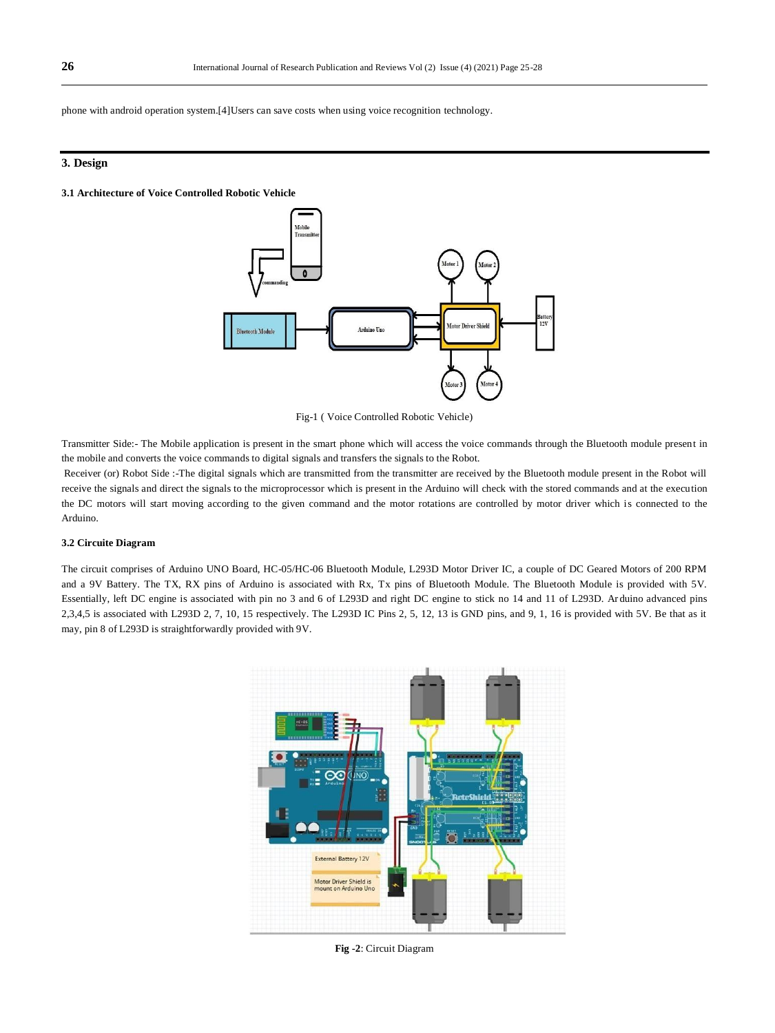phone with android operation system.[4]Users can save costs when using voice recognition technology.

## **3. Design**

#### **3.1 Architecture of Voice Controlled Robotic Vehicle**



Fig-1 ( Voice Controlled Robotic Vehicle)

Transmitter Side:- The Mobile application is present in the smart phone which will access the voice commands through the Bluetooth module present in the mobile and converts the voice commands to digital signals and transfers the signals to the Robot.

Receiver (or) Robot Side :-The digital signals which are transmitted from the transmitter are received by the Bluetooth module present in the Robot will receive the signals and direct the signals to the microprocessor which is present in the Arduino will check with the stored commands and at the execution the DC motors will start moving according to the given command and the motor rotations are controlled by motor driver which is connected to the Arduino.

#### **3.2 Circuite Diagram**

The circuit comprises of Arduino UNO Board, HC-05/HC-06 Bluetooth Module, L293D Motor Driver IC, a couple of DC Geared Motors of 200 RPM and a 9V Battery. The TX, RX pins of Arduino is associated with Rx, Tx pins of Bluetooth Module. The Bluetooth Module is provided with 5V. Essentially, left DC engine is associated with pin no 3 and 6 of L293D and right DC engine to stick no 14 and 11 of L293D. Ar duino advanced pins 2,3,4,5 is associated with L293D 2, 7, 10, 15 respectively. The L293D IC Pins 2, 5, 12, 13 is GND pins, and 9, 1, 16 is provided with 5V. Be that as it may, pin 8 of L293D is straightforwardly provided with 9V.



**Fig -2**: Circuit Diagram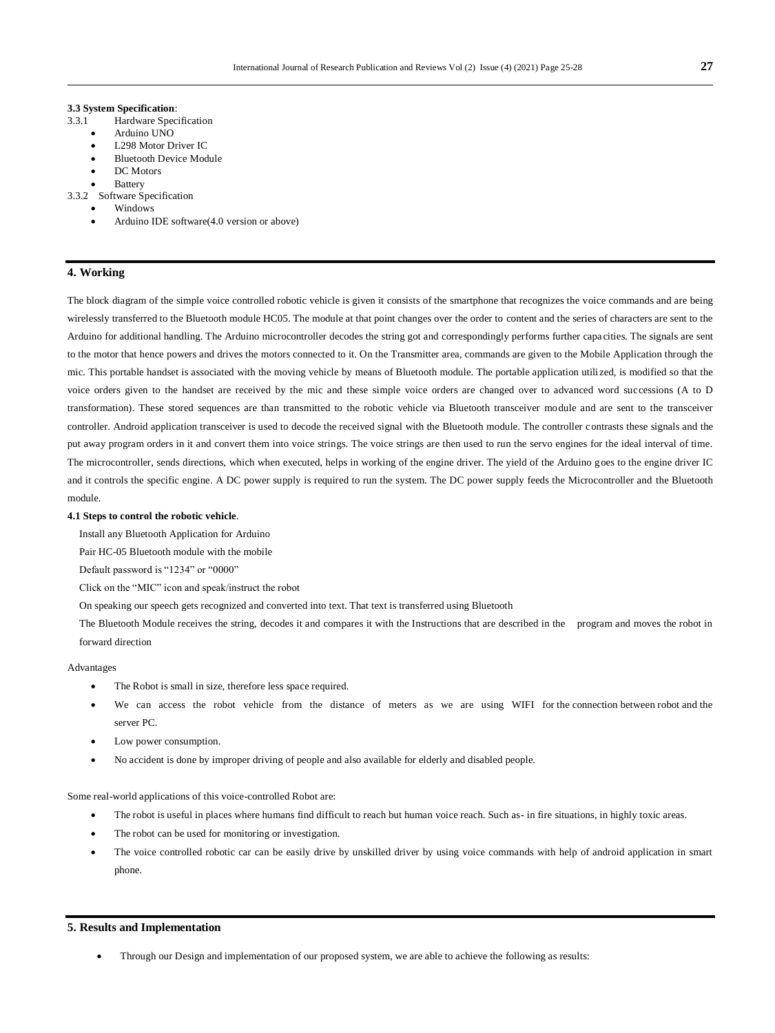#### **3.3 System Specification**:

- 3.3.1 Hardware Specification
	- Arduino UNO
	- L298 Motor Driver IC
	- Bluetooth Device Module
	- DC Motors
	- **Battery**

3.3.2 Software Specification

- Windows
- Arduino IDE software(4.0 version or above)

## **4. Working**

The block diagram of the simple voice controlled robotic vehicle is given it consists of the smartphone that recognizes the voice commands and are being wirelessly transferred to the Bluetooth module HC05. The module at that point changes over the order to content and the series of characters are sent to the Arduino for additional handling. The Arduino microcontroller decodes the string got and correspondingly performs further capa cities. The signals are sent to the motor that hence powers and drives the motors connected to it. On the Transmitter area, commands are given to the Mobile Application through the mic. This portable handset is associated with the moving vehicle by means of Bluetooth module. The portable application utili zed, is modified so that the voice orders given to the handset are received by the mic and these simple voice orders are changed over to advanced word successions (A to D transformation). These stored sequences are than transmitted to the robotic vehicle via Bluetooth transceiver module and are sent to the transceiver controller. Android application transceiver is used to decode the received signal with the Bluetooth module. The controller contrasts these signals and the put away program orders in it and convert them into voice strings. The voice strings are then used to run the servo engines for the ideal interval of time. The microcontroller, sends directions, which when executed, helps in working of the engine driver. The yield of the Arduino goes to the engine driver IC and it controls the specific engine. A DC power supply is required to run the system. The DC power supply feeds the Microcontroller and the Bluetooth module.

#### **4.1 Steps to control the robotic vehicle***.*

Install any Bluetooth Application for Arduino

Pair HC-05 Bluetooth module with the mobile

Default password is "1234" or "0000"

Click on the "MIC" icon and speak/instruct the robot

On speaking our speech gets recognized and converted into text. That text is transferred using Bluetooth

The Bluetooth Module receives the string, decodes it and compares it with the Instructions that are described in the program and moves the robot in forward direction

#### Advantages

- The Robot is small in size, therefore less space required.
- We can access the robot vehicle from the distance of meters as we are using WIFI for the connection between robot and the server PC.
- Low power consumption.
- No accident is done by improper driving of people and also available for elderly and disabled people.

Some real-world applications of this voice-controlled Robot are:

- The robot is useful in places where humans find difficult to reach but human voice reach. Such as- in fire situations, in highly toxic areas.
- The robot can be used for monitoring or investigation.
- The voice controlled robotic car can be easily drive by unskilled driver by using voice commands with help of android application in smart phone.

#### **5. Results and Implementation**

Through our Design and implementation of our proposed system, we are able to achieve the following as results: